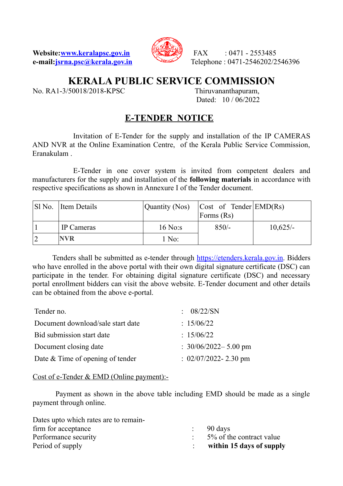**Website:<u>www.keralapsc.gov.in</u>**  $\sqrt{2553485}$  FAX : 0471 - 2553485



**e-mail:** jsrna.psc@kerala.gov.in Telephone : 0471-2546202/2546396

# **KERALA PUBLIC SERVICE COMMISSION**

No. RA1-3/50018/2018-KPSC Thiruvananthapuram,

Dated: 10 / 06/2022

## **E-TENDER NOTICE**

Invitation of E-Tender for the supply and installation of the IP CAMERAS AND NVR at the Online Examination Centre, of the Kerala Public Service Commission, Eranakulam .

E-Tender in one cover system is invited from competent dealers and manufacturers for the supply and installation of the **following materials** in accordance with respective specifications as shown in Annexure I of the Tender document.

| SI No. Item Details | Quantity (Nos) | Cost of Tender EMD(Rs) <br>Forms $(Rs)$ |            |
|---------------------|----------------|-----------------------------------------|------------|
| IP Cameras          | $16$ No:s      | $850/-$                                 | $10,625/-$ |
| <b>NVR</b>          | $1$ No:        |                                         |            |

 Tenders shall be submitted as e-tender through [https://etenders.kerala.gov.in.](https://etenders.kerala.gov.in/) Bidders who have enrolled in the above portal with their own digital signature certificate (DSC) can participate in the tender. For obtaining digital signature certificate (DSC) and necessary portal enrollment bidders can visit the above website. E-Tender document and other details can be obtained from the above e-portal.

| Tender no.                         | : $08/22/SN$             |
|------------------------------------|--------------------------|
| Document download/sale start date  | : $15/06/22$             |
| Bid submission start date          | : $15/06/22$             |
| Document closing date              | : $30/06/2022 - 5.00$ pm |
| Date $&$ Time of opening of tender | : $02/07/2022 - 2.30$ pm |

### Cost of e-Tender & EMD (Online payment):-

 Payment as shown in the above table including EMD should be made as a single payment through online.

| Dates upto which rates are to remain- |                          |
|---------------------------------------|--------------------------|
| firm for acceptance                   | $\therefore$ 90 days     |
| Performance security                  | 5% of the contract value |
| Period of supply                      | within 15 days of supply |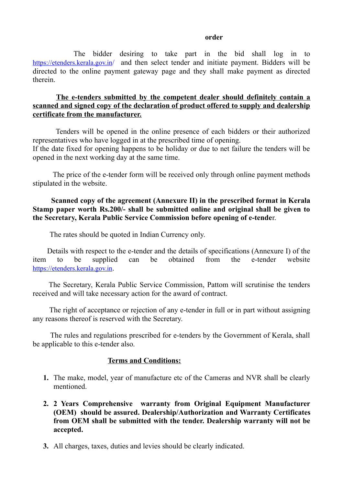#### *order*  $\alpha$

 The bidder desiring to take part in the bid shall log in to [https://etenders.kerala.gov.in](https://etenders.kerala.gov.in/)/ and then select tender and initiate payment. Bidders will be directed to the online payment gateway page and they shall make payment as directed therein.

#### **The e-tenders submitted by the competent dealer should definitely contain a scanned and signed copy of the declaration of product offered to supply and dealership certificate from the manufacturer.**

 Tenders will be opened in the online presence of each bidders or their authorized representatives who have logged in at the prescribed time of opening. If the date fixed for opening happens to be holiday or due to net failure the tenders will be opened in the next working day at the same time.

 The price of the e-tender form will be received only through online payment methods stipulated in the website.

### **Scanned copy of the agreement (Annexure II) in the prescribed format in Kerala Stamp paper worth Rs.200/- shall be submitted online and original shall be given to the Secretary, Kerala Public Service Commission before opening of e-tende**r.

The rates should be quoted in Indian Currency only.

 Details with respect to the e-tender and the details of specifications (Annexure I) of the item to be supplied can be obtained from the e-tender website [https://etenders.kerala.gov.in](https://etenders.kerala.gov.in/).

 The Secretary, Kerala Public Service Commission, Pattom will scrutinise the tenders received and will take necessary action for the award of contract.

 The right of acceptance or rejection of any e-tender in full or in part without assigning any reasons thereof is reserved with the Secretary.

 The rules and regulations prescribed for e-tenders by the Government of Kerala, shall be applicable to this e-tender also.

### **Terms and Conditions:**

- **1.** The make, model, year of manufacture etc of the Cameras and NVR shall be clearly mentioned.
- **2. 2 Years Comprehensive warranty from Original Equipment Manufacturer (OEM) should be assured. Dealership/Authorization and Warranty Certificates from OEM shall be submitted with the tender. Dealership warranty will not be accepted.**
- **3.** All charges, taxes, duties and levies should be clearly indicated.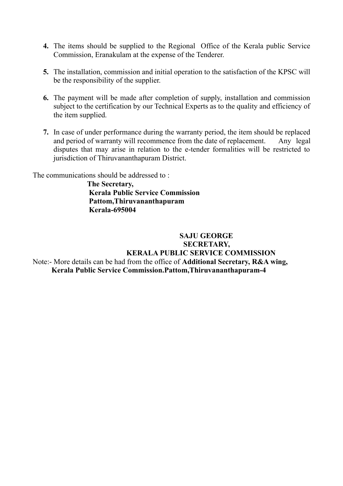- **4.** The items should be supplied to the Regional Office of the Kerala public Service Commission, Eranakulam at the expense of the Tenderer.
- **5.** The installation, commission and initial operation to the satisfaction of the KPSC will be the responsibility of the supplier.
- **6.** The payment will be made after completion of supply, installation and commission subject to the certification by our Technical Experts as to the quality and efficiency of the item supplied.
- **7.** In case of under performance during the warranty period, the item should be replaced and period of warranty will recommence from the date of replacement. Any legal disputes that may arise in relation to the e-tender formalities will be restricted to jurisdiction of Thiruvananthapuram District.

The communications should be addressed to :

 **The Secretary, Kerala Public Service Commission Pattom,Thiruvananthapuram Kerala-695004**

#### **SAJU GEORGE SECRETARY, KERALA PUBLIC SERVICE COMMISSION** Note:- More details can be had from the office of **Additional Secretary, R&A wing, Kerala Public Service Commission.Pattom,Thiruvananthapuram-4**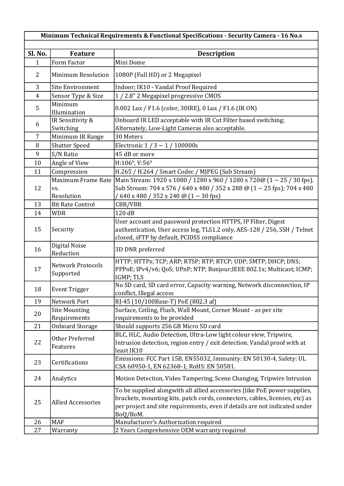| Minimum Technical Requirements & Functional Specifications - Security Camera - 16 No.s |                                       |                                                                                                                                                                                                                                                    |  |
|----------------------------------------------------------------------------------------|---------------------------------------|----------------------------------------------------------------------------------------------------------------------------------------------------------------------------------------------------------------------------------------------------|--|
|                                                                                        |                                       |                                                                                                                                                                                                                                                    |  |
| Sl. No.                                                                                | <b>Feature</b>                        | <b>Description</b>                                                                                                                                                                                                                                 |  |
| 1                                                                                      | Form Factor                           | Mini Dome                                                                                                                                                                                                                                          |  |
| $\overline{2}$                                                                         | <b>Minimum Resolution</b>             | 1080P (Full HD) or 2 Megapixel                                                                                                                                                                                                                     |  |
| 3                                                                                      | <b>Site Environment</b>               | Indoor; IK10 - Vandal Proof Required                                                                                                                                                                                                               |  |
| $\overline{4}$                                                                         | Sensor Type & Size                    | 1 / 2.8" 2 Megapixel progressive CMOS                                                                                                                                                                                                              |  |
| 5                                                                                      | Minimum<br>Illumination               | 0.002 Lux / F1.6 (color, 30IRE), 0 Lux / F1.6 (IR ON)                                                                                                                                                                                              |  |
| 6                                                                                      | IR Sensitivity &<br>Switching         | Onboard IR LED acceptable with IR Cut Filter based switching;<br>Alternately, Low-Light Cameras also acceptable.                                                                                                                                   |  |
| $\overline{7}$                                                                         | Minimum IR Range                      | 30 Meters                                                                                                                                                                                                                                          |  |
| 8                                                                                      | <b>Shutter Speed</b>                  | Electronic $1/3 \sim 1/100000$ s                                                                                                                                                                                                                   |  |
| 9                                                                                      | S/N Ratio                             | 45 dB or more                                                                                                                                                                                                                                      |  |
| 10                                                                                     | Angle of View                         | H:106°, V:56°                                                                                                                                                                                                                                      |  |
| 11                                                                                     | Compression                           | H.265 / H.264 / Smart Codec / MJPEG (Sub Stream)                                                                                                                                                                                                   |  |
|                                                                                        | Maximum Frame Rate                    | Main Stream: 1920 x 1080 / 1280 x 960 / 1280 x 720@ $(1 \sim 25 / 30$ fps).                                                                                                                                                                        |  |
| 12                                                                                     | VS.                                   | Sub Stream: 704 x 576 / 640 x 480 / 352 x 288 @ (1 ~ 25 fps); 704 x 480                                                                                                                                                                            |  |
|                                                                                        | Resolution                            | $/640$ x 480 / 352 x 240 @ $(1 \sim 30$ fps)                                                                                                                                                                                                       |  |
| 13                                                                                     | <b>Bit Rate Control</b>               | CBR/VBR                                                                                                                                                                                                                                            |  |
| 14                                                                                     | <b>WDR</b>                            | 120 dB                                                                                                                                                                                                                                             |  |
| 15                                                                                     | Security                              | User account and password protection HTTPS, IP Filter, Digest<br>authentication, User access log, TLS1.2 only, AES-128 / 256, SSH / Telnet<br>closed, sFTP by default, PCIDSS compliance                                                           |  |
| 16                                                                                     | Digital Noise<br>Reduction            | 3D DNR preferred                                                                                                                                                                                                                                   |  |
| 17                                                                                     | <b>Network Protocols</b><br>Supported | HTTP; HTTPs; TCP; ARP; RTSP; RTP; RTCP; UDP; SMTP; DHCP; DNS;<br>PPPoE; IPv4/v6; QoS; UPnP; NTP; Bonjour; IEEE 802.1x; Multicast; ICMP;<br>IGMP; TLS                                                                                               |  |
| 18                                                                                     | <b>Event Trigger</b>                  | No SD card, SD card error, Capacity warning, Network disconnection, IP<br>conflict, Illegal access                                                                                                                                                 |  |
| 19                                                                                     | Network Port                          | RJ-45 (10/100Base-T) PoE (802.3 af)                                                                                                                                                                                                                |  |
| 20                                                                                     | <b>Site Mounting</b>                  | Surface, Ceiling, Flush, Wall Mount, Corner Mount - as per site                                                                                                                                                                                    |  |
|                                                                                        | Requirements                          | requirements to be provided                                                                                                                                                                                                                        |  |
| 21                                                                                     | <b>Onboard Storage</b>                | Should supports 256 GB Micro SD card                                                                                                                                                                                                               |  |
| 22                                                                                     | Other Preferred<br>Features           | BLC, HLC, Audio Detection, Ultra-Low light colour view, Tripwire,<br>Intrusion detection, region entry / exit detection. Vandal proof with at<br>least IK10                                                                                        |  |
| 23                                                                                     | Certifications                        | Emissions: FCC Part 15B, EN55032, Immunity: EN 50130-4, Safety: UL<br>CSA 60950-1, EN 62368-1, RoHS: EN 50581.                                                                                                                                     |  |
| 24                                                                                     | Analytics                             | Motion Detection, Video Tampering, Scene Changing, Tripwire Intrusion                                                                                                                                                                              |  |
| 25                                                                                     | <b>Allied Accessories</b>             | To be supplied alongwith all allied accessories (like PoE power supplies,<br>brackets, mounting kits, patch cords, connectors, cables, licenses, etc) as<br>per project and site requirements, even if details are not indicated under<br>BoQ/BoM. |  |
| 26                                                                                     | <b>MAF</b>                            | Manufacturer's Authorization required                                                                                                                                                                                                              |  |
| 27                                                                                     | Warranty                              | 2 Years Comprehensive OEM warranty required                                                                                                                                                                                                        |  |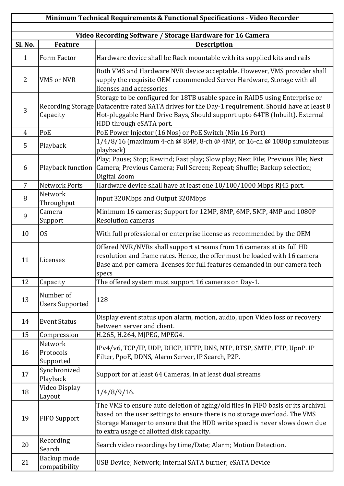| Minimum Technical Requirements & Functional Specifications - Video Recorder |                                                           |                                                                                                                                                                                                                                                                                           |  |
|-----------------------------------------------------------------------------|-----------------------------------------------------------|-------------------------------------------------------------------------------------------------------------------------------------------------------------------------------------------------------------------------------------------------------------------------------------------|--|
|                                                                             |                                                           |                                                                                                                                                                                                                                                                                           |  |
|                                                                             | Video Recording Software / Storage Hardware for 16 Camera |                                                                                                                                                                                                                                                                                           |  |
| Sl. No.                                                                     | <b>Feature</b>                                            | <b>Description</b>                                                                                                                                                                                                                                                                        |  |
| $\mathbf{1}$                                                                | Form Factor                                               | Hardware device shall be Rack mountable with its supplied kits and rails                                                                                                                                                                                                                  |  |
| $\overline{2}$                                                              | <b>VMS</b> or NVR                                         | Both VMS and Hardware NVR device acceptable. However, VMS provider shall<br>supply the requisite OEM recommended Server Hardware, Storage with all<br>licenses and accessories                                                                                                            |  |
| 3                                                                           | Capacity                                                  | Storage to be configured for 18TB usable space in RAID5 using Enterprise or<br>Recording Storage Datacentre rated SATA drives for the Day-1 requirement. Should have at least 8<br>Hot-pluggable Hard Drive Bays, Should support upto 64TB (Inbuilt). External<br>HDD through eSATA port. |  |
| $\overline{4}$                                                              | PoE                                                       | PoE Power Injector (16 Nos) or PoE Switch (Min 16 Port)                                                                                                                                                                                                                                   |  |
| 5                                                                           | Playback                                                  | 1/4/8/16 (maximum 4-ch @ 8MP, 8-ch @ 4MP, or 16-ch @ 1080p simulateous<br>playback)                                                                                                                                                                                                       |  |
| 6                                                                           | Playback function                                         | Play; Pause; Stop; Rewind; Fast play; Slow play; Next File; Previous File; Next<br>Camera; Previous Camera; Full Screen; Repeat; Shuffle; Backup selection;<br>Digital Zoom                                                                                                               |  |
| $\overline{7}$                                                              | <b>Network Ports</b>                                      | Hardware device shall have at least one 10/100/1000 Mbps Rj45 port.                                                                                                                                                                                                                       |  |
| 8                                                                           | Network<br>Throughput                                     | Input 320Mbps and Output 320Mbps                                                                                                                                                                                                                                                          |  |
| 9                                                                           | Camera<br>Support                                         | Minimum 16 cameras; Support for 12MP, 8MP, 6MP, 5MP, 4MP and 1080P<br><b>Resolution cameras</b>                                                                                                                                                                                           |  |
| 10                                                                          | OS                                                        | With full professional or enterprise license as recommended by the OEM                                                                                                                                                                                                                    |  |
| 11                                                                          | Licenses                                                  | Offered NVR/NVRs shall support streams from 16 cameras at its full HD<br>resolution and frame rates. Hence, the offer must be loaded with 16 camera<br>Base and per camera licenses for full features demanded in our camera tech<br>specs                                                |  |
| 12                                                                          | Capacity                                                  | The offered system must support 16 cameras on Day-1.                                                                                                                                                                                                                                      |  |
| 13                                                                          | Number of<br><b>Users Supported</b>                       | 128                                                                                                                                                                                                                                                                                       |  |
| 14                                                                          | <b>Event Status</b>                                       | Display event status upon alarm, motion, audio, upon Video loss or recovery<br>between server and client.                                                                                                                                                                                 |  |
| 15                                                                          | Compression                                               | H.265, H.264, MJPEG, MPEG4.                                                                                                                                                                                                                                                               |  |
| 16                                                                          | Network<br>Protocols<br>Supported                         | IPv4/v6, TCP/IP, UDP, DHCP, HTTP, DNS, NTP, RTSP, SMTP, FTP, UpnP. IP<br>Filter, PpoE, DDNS, Alarm Server, IP Search, P2P.                                                                                                                                                                |  |
| 17                                                                          | Synchronized<br>Playback                                  | Support for at least 64 Cameras, in at least dual streams                                                                                                                                                                                                                                 |  |
| 18                                                                          | Video Display<br>Layout                                   | $1/4/8/9/16$ .                                                                                                                                                                                                                                                                            |  |
| 19                                                                          | <b>FIFO Support</b>                                       | The VMS to ensure auto deletion of aging/old files in FIFO basis or its archival<br>based on the user settings to ensure there is no storage overload. The VMS<br>Storage Manager to ensure that the HDD write speed is never slows down due<br>to extra usage of allotted disk capacity. |  |
| 20                                                                          | Recording<br>Search                                       | Search video recordings by time/Date; Alarm; Motion Detection.                                                                                                                                                                                                                            |  |
| 21                                                                          | Backup mode<br>compatibility                              | USB Device; Network; Internal SATA burner; eSATA Device                                                                                                                                                                                                                                   |  |